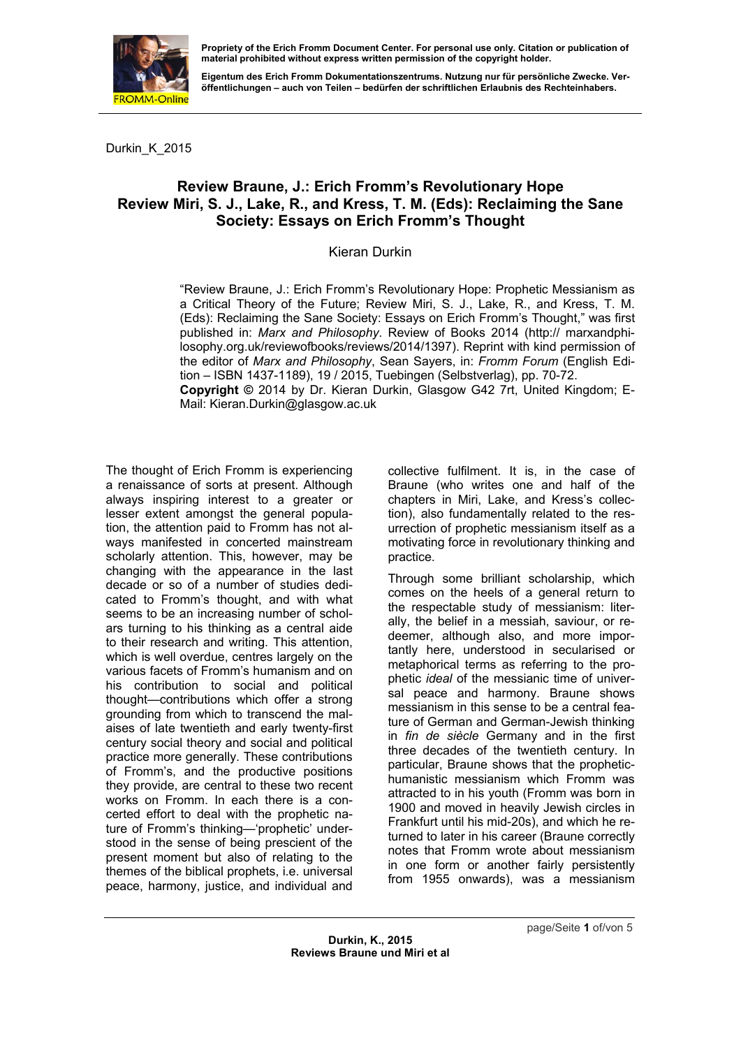

**Eigentum des Erich Fromm Dokumentationszentrums. Nutzung nur für persönliche Zwecke. Veröffentlichungen – auch von Teilen – bedürfen der schriftlichen Erlaubnis des Rechteinhabers.** 

Durkin\_K\_2015

## **Review Braune, J.: Erich Fromm's Revolutionary Hope Review Miri, S. J., Lake, R., and Kress, T. M. (Eds): Reclaiming the Sane Society: Essays on Erich Fromm's Thought**

Kieran Durkin

"Review Braune, J.: Erich Fromm's Revolutionary Hope: Prophetic Messianism as a Critical Theory of the Future; Review Miri, S. J., Lake, R., and Kress, T. M. (Eds): Reclaiming the Sane Society: Essays on Erich Fromm's Thought," was first published in: *Marx and Philosophy*. Review of Books 2014 (http:// marxandphilosophy.org.uk/reviewofbooks/reviews/2014/1397). Reprint with kind permission of the editor of *Marx and Philosophy*, Sean Sayers, in: *Fromm Forum* (English Edition – ISBN 1437-1189), 19 / 2015, Tuebingen (Selbstverlag), pp. 70-72. **Copyright ©** 2014 by Dr. Kieran Durkin, Glasgow G42 7rt, United Kingdom; E-Mail: Kieran.Durkin@glasgow.ac.uk

The thought of Erich Fromm is experiencing a renaissance of sorts at present. Although always inspiring interest to a greater or lesser extent amongst the general population, the attention paid to Fromm has not always manifested in concerted mainstream scholarly attention. This, however, may be changing with the appearance in the last decade or so of a number of studies dedicated to Fromm's thought, and with what seems to be an increasing number of scholars turning to his thinking as a central aide to their research and writing. This attention, which is well overdue, centres largely on the various facets of Fromm's humanism and on his contribution to social and political thought—contributions which offer a strong grounding from which to transcend the malaises of late twentieth and early twenty-first century social theory and social and political practice more generally. These contributions of Fromm's, and the productive positions they provide, are central to these two recent works on Fromm. In each there is a concerted effort to deal with the prophetic nature of Fromm's thinking—'prophetic' understood in the sense of being prescient of the present moment but also of relating to the themes of the biblical prophets, i.e. universal peace, harmony, justice, and individual and

collective fulfilment. It is, in the case of Braune (who writes one and half of the chapters in Miri, Lake, and Kress's collection), also fundamentally related to the resurrection of prophetic messianism itself as a motivating force in revolutionary thinking and practice.

Through some brilliant scholarship, which comes on the heels of a general return to the respectable study of messianism: literally, the belief in a messiah, saviour, or redeemer, although also, and more importantly here, understood in secularised or metaphorical terms as referring to the prophetic *ideal* of the messianic time of universal peace and harmony. Braune shows messianism in this sense to be a central feature of German and German-Jewish thinking in *fin de siècle* Germany and in the first three decades of the twentieth century. In particular, Braune shows that the prophetichumanistic messianism which Fromm was attracted to in his youth (Fromm was born in 1900 and moved in heavily Jewish circles in Frankfurt until his mid-20s), and which he returned to later in his career (Braune correctly notes that Fromm wrote about messianism in one form or another fairly persistently from 1955 onwards), was a messianism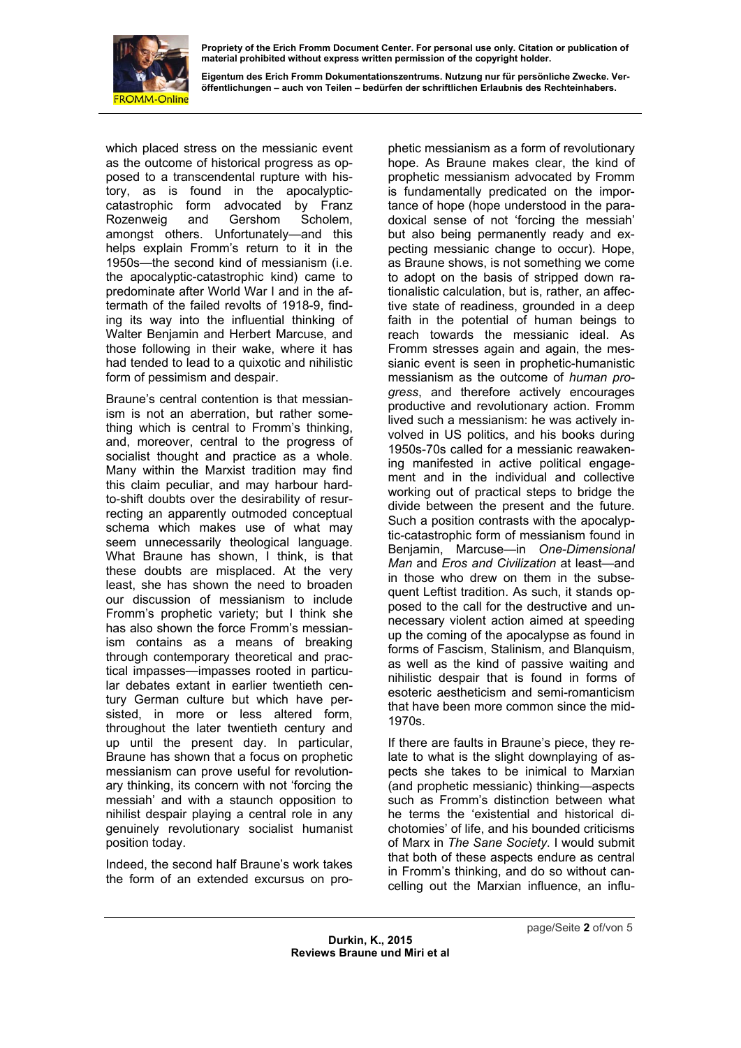

**Eigentum des Erich Fromm Dokumentationszentrums. Nutzung nur für persönliche Zwecke. Veröffentlichungen – auch von Teilen – bedürfen der schriftlichen Erlaubnis des Rechteinhabers.** 

which placed stress on the messianic event as the outcome of historical progress as opposed to a transcendental rupture with history, as is found in the apocalypticcatastrophic form advocated by Franz Rozenweig and Gershom Scholem, amongst others. Unfortunately—and this helps explain Fromm's return to it in the 1950s—the second kind of messianism (i.e. the apocalyptic-catastrophic kind) came to predominate after World War I and in the aftermath of the failed revolts of 1918-9, finding its way into the influential thinking of Walter Benjamin and Herbert Marcuse, and those following in their wake, where it has had tended to lead to a quixotic and nihilistic form of pessimism and despair.

Braune's central contention is that messianism is not an aberration, but rather something which is central to Fromm's thinking, and, moreover, central to the progress of socialist thought and practice as a whole. Many within the Marxist tradition may find this claim peculiar, and may harbour hardto-shift doubts over the desirability of resurrecting an apparently outmoded conceptual schema which makes use of what may seem unnecessarily theological language. What Braune has shown, I think, is that these doubts are misplaced. At the very least, she has shown the need to broaden our discussion of messianism to include Fromm's prophetic variety; but I think she has also shown the force Fromm's messianism contains as a means of breaking through contemporary theoretical and practical impasses—impasses rooted in particular debates extant in earlier twentieth century German culture but which have persisted, in more or less altered form, throughout the later twentieth century and up until the present day. In particular, Braune has shown that a focus on prophetic messianism can prove useful for revolutionary thinking, its concern with not 'forcing the messiah' and with a staunch opposition to nihilist despair playing a central role in any genuinely revolutionary socialist humanist position today.

Indeed, the second half Braune's work takes the form of an extended excursus on prophetic messianism as a form of revolutionary hope. As Braune makes clear, the kind of prophetic messianism advocated by Fromm is fundamentally predicated on the importance of hope (hope understood in the paradoxical sense of not 'forcing the messiah' but also being permanently ready and expecting messianic change to occur). Hope, as Braune shows, is not something we come to adopt on the basis of stripped down rationalistic calculation, but is, rather, an affective state of readiness, grounded in a deep faith in the potential of human beings to reach towards the messianic ideal. As Fromm stresses again and again, the messianic event is seen in prophetic-humanistic messianism as the outcome of *human progress*, and therefore actively encourages productive and revolutionary action. Fromm lived such a messianism: he was actively involved in US politics, and his books during 1950s-70s called for a messianic reawakening manifested in active political engagement and in the individual and collective working out of practical steps to bridge the divide between the present and the future. Such a position contrasts with the apocalyptic-catastrophic form of messianism found in Benjamin, Marcuse—in *One-Dimensional Man* and *Eros and Civilization* at least—and in those who drew on them in the subsequent Leftist tradition. As such, it stands opposed to the call for the destructive and unnecessary violent action aimed at speeding up the coming of the apocalypse as found in forms of Fascism, Stalinism, and Blanquism, as well as the kind of passive waiting and nihilistic despair that is found in forms of esoteric aestheticism and semi-romanticism that have been more common since the mid-1970s.

If there are faults in Braune's piece, they relate to what is the slight downplaying of aspects she takes to be inimical to Marxian (and prophetic messianic) thinking—aspects such as Fromm's distinction between what he terms the 'existential and historical dichotomies' of life, and his bounded criticisms of Marx in *The Sane Society*. I would submit that both of these aspects endure as central in Fromm's thinking, and do so without cancelling out the Marxian influence, an influ-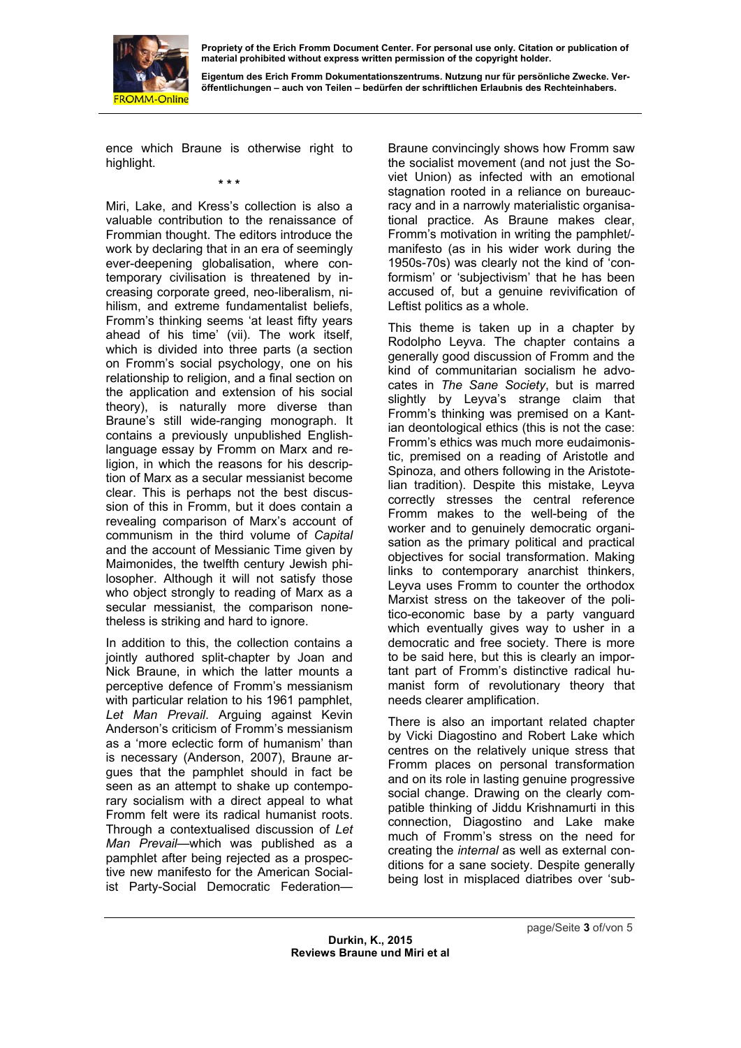

**Eigentum des Erich Fromm Dokumentationszentrums. Nutzung nur für persönliche Zwecke. Veröffentlichungen – auch von Teilen – bedürfen der schriftlichen Erlaubnis des Rechteinhabers.** 

ence which Braune is otherwise right to highlight.

**\* \* \*** 

Miri, Lake, and Kress's collection is also a valuable contribution to the renaissance of Frommian thought. The editors introduce the work by declaring that in an era of seemingly ever-deepening globalisation, where contemporary civilisation is threatened by increasing corporate greed, neo-liberalism, nihilism, and extreme fundamentalist beliefs, Fromm's thinking seems 'at least fifty years ahead of his time' (vii). The work itself, which is divided into three parts (a section on Fromm's social psychology, one on his relationship to religion, and a final section on the application and extension of his social theory), is naturally more diverse than Braune's still wide-ranging monograph. It contains a previously unpublished Englishlanguage essay by Fromm on Marx and religion, in which the reasons for his description of Marx as a secular messianist become clear. This is perhaps not the best discussion of this in Fromm, but it does contain a revealing comparison of Marx's account of communism in the third volume of *Capital* and the account of Messianic Time given by Maimonides, the twelfth century Jewish philosopher. Although it will not satisfy those who object strongly to reading of Marx as a secular messianist, the comparison nonetheless is striking and hard to ignore.

In addition to this, the collection contains a jointly authored split-chapter by Joan and Nick Braune, in which the latter mounts a perceptive defence of Fromm's messianism with particular relation to his 1961 pamphlet, *Let Man Prevail*. Arguing against Kevin Anderson's criticism of Fromm's messianism as a 'more eclectic form of humanism' than is necessary (Anderson, 2007), Braune argues that the pamphlet should in fact be seen as an attempt to shake up contemporary socialism with a direct appeal to what Fromm felt were its radical humanist roots. Through a contextualised discussion of *Let Man Prevail*—which was published as a pamphlet after being rejected as a prospective new manifesto for the American Socialist Party-Social Democratic FederationBraune convincingly shows how Fromm saw the socialist movement (and not just the Soviet Union) as infected with an emotional stagnation rooted in a reliance on bureaucracy and in a narrowly materialistic organisational practice. As Braune makes clear, Fromm's motivation in writing the pamphlet/ manifesto (as in his wider work during the 1950s-70s) was clearly not the kind of 'conformism' or 'subjectivism' that he has been accused of, but a genuine revivification of Leftist politics as a whole.

This theme is taken up in a chapter by Rodolpho Leyva. The chapter contains a generally good discussion of Fromm and the kind of communitarian socialism he advocates in *The Sane Society*, but is marred slightly by Leyva's strange claim that Fromm's thinking was premised on a Kantian deontological ethics (this is not the case: Fromm's ethics was much more eudaimonistic, premised on a reading of Aristotle and Spinoza, and others following in the Aristotelian tradition). Despite this mistake, Leyva correctly stresses the central reference Fromm makes to the well-being of the worker and to genuinely democratic organisation as the primary political and practical objectives for social transformation. Making links to contemporary anarchist thinkers, Leyva uses Fromm to counter the orthodox Marxist stress on the takeover of the politico-economic base by a party vanguard which eventually gives way to usher in a democratic and free society. There is more to be said here, but this is clearly an important part of Fromm's distinctive radical humanist form of revolutionary theory that needs clearer amplification.

There is also an important related chapter by Vicki Diagostino and Robert Lake which centres on the relatively unique stress that Fromm places on personal transformation and on its role in lasting genuine progressive social change. Drawing on the clearly compatible thinking of Jiddu Krishnamurti in this connection, Diagostino and Lake make much of Fromm's stress on the need for creating the *internal* as well as external conditions for a sane society. Despite generally being lost in misplaced diatribes over 'sub-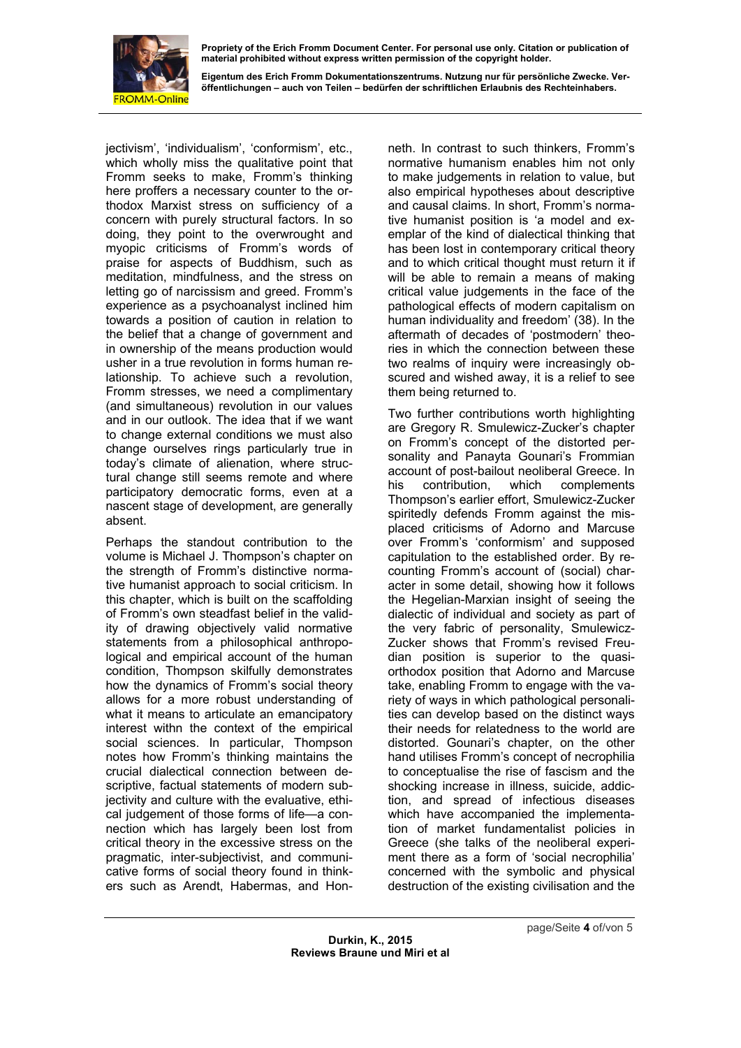

**Eigentum des Erich Fromm Dokumentationszentrums. Nutzung nur für persönliche Zwecke. Veröffentlichungen – auch von Teilen – bedürfen der schriftlichen Erlaubnis des Rechteinhabers.** 

jectivism', 'individualism', 'conformism', etc., which wholly miss the qualitative point that Fromm seeks to make, Fromm's thinking here proffers a necessary counter to the orthodox Marxist stress on sufficiency of a concern with purely structural factors. In so doing, they point to the overwrought and myopic criticisms of Fromm's words of praise for aspects of Buddhism, such as meditation, mindfulness, and the stress on letting go of narcissism and greed. Fromm's experience as a psychoanalyst inclined him towards a position of caution in relation to the belief that a change of government and in ownership of the means production would usher in a true revolution in forms human relationship. To achieve such a revolution, Fromm stresses, we need a complimentary (and simultaneous) revolution in our values and in our outlook. The idea that if we want to change external conditions we must also change ourselves rings particularly true in today's climate of alienation, where structural change still seems remote and where participatory democratic forms, even at a nascent stage of development, are generally absent.

Perhaps the standout contribution to the volume is Michael J. Thompson's chapter on the strength of Fromm's distinctive normative humanist approach to social criticism. In this chapter, which is built on the scaffolding of Fromm's own steadfast belief in the validity of drawing objectively valid normative statements from a philosophical anthropological and empirical account of the human condition, Thompson skilfully demonstrates how the dynamics of Fromm's social theory allows for a more robust understanding of what it means to articulate an emancipatory interest withn the context of the empirical social sciences. In particular, Thompson notes how Fromm's thinking maintains the crucial dialectical connection between descriptive, factual statements of modern subjectivity and culture with the evaluative, ethical judgement of those forms of life—a connection which has largely been lost from critical theory in the excessive stress on the pragmatic, inter-subjectivist, and communicative forms of social theory found in thinkers such as Arendt, Habermas, and Honneth. In contrast to such thinkers, Fromm's normative humanism enables him not only to make judgements in relation to value, but also empirical hypotheses about descriptive and causal claims. In short, Fromm's normative humanist position is 'a model and exemplar of the kind of dialectical thinking that has been lost in contemporary critical theory and to which critical thought must return it if will be able to remain a means of making critical value judgements in the face of the pathological effects of modern capitalism on human individuality and freedom' (38). In the aftermath of decades of 'postmodern' theories in which the connection between these two realms of inquiry were increasingly obscured and wished away, it is a relief to see them being returned to.

Two further contributions worth highlighting are Gregory R. Smulewicz-Zucker's chapter on Fromm's concept of the distorted personality and Panayta Gounari's Frommian account of post-bailout neoliberal Greece. In his contribution, which complements Thompson's earlier effort, Smulewicz-Zucker spiritedly defends Fromm against the misplaced criticisms of Adorno and Marcuse over Fromm's 'conformism' and supposed capitulation to the established order. By recounting Fromm's account of (social) character in some detail, showing how it follows the Hegelian-Marxian insight of seeing the dialectic of individual and society as part of the very fabric of personality, Smulewicz-Zucker shows that Fromm's revised Freudian position is superior to the quasiorthodox position that Adorno and Marcuse take, enabling Fromm to engage with the variety of ways in which pathological personalities can develop based on the distinct ways their needs for relatedness to the world are distorted. Gounari's chapter, on the other hand utilises Fromm's concept of necrophilia to conceptualise the rise of fascism and the shocking increase in illness, suicide, addiction, and spread of infectious diseases which have accompanied the implementation of market fundamentalist policies in Greece (she talks of the neoliberal experiment there as a form of 'social necrophilia' concerned with the symbolic and physical destruction of the existing civilisation and the